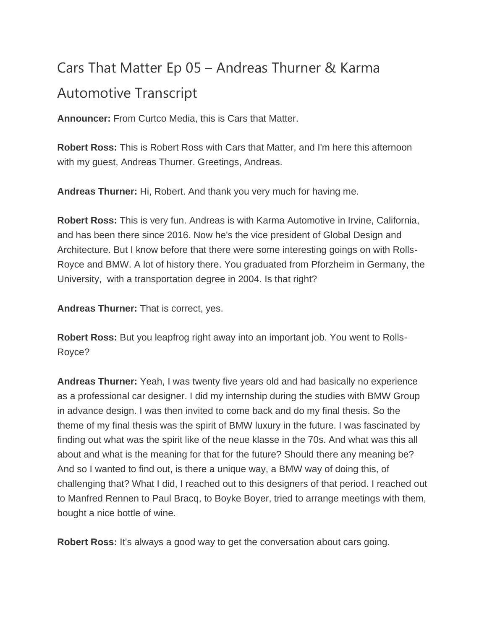## Cars That Matter Ep 05 – Andreas Thurner & Karma Automotive Transcript

**Announcer:** From Curtco Media, this is Cars that Matter.

**Robert Ross:** This is Robert Ross with Cars that Matter, and I'm here this afternoon with my guest, Andreas Thurner. Greetings, Andreas.

**Andreas Thurner:** Hi, Robert. And thank you very much for having me.

**Robert Ross:** This is very fun. Andreas is with Karma Automotive in Irvine, California, and has been there since 2016. Now he's the vice president of Global Design and Architecture. But I know before that there were some interesting goings on with Rolls-Royce and BMW. A lot of history there. You graduated from Pforzheim in Germany, the University, with a transportation degree in 2004. Is that right?

**Andreas Thurner:** That is correct, yes.

**Robert Ross:** But you leapfrog right away into an important job. You went to Rolls-Royce?

**Andreas Thurner:** Yeah, I was twenty five years old and had basically no experience as a professional car designer. I did my internship during the studies with BMW Group in advance design. I was then invited to come back and do my final thesis. So the theme of my final thesis was the spirit of BMW luxury in the future. I was fascinated by finding out what was the spirit like of the neue klasse in the 70s. And what was this all about and what is the meaning for that for the future? Should there any meaning be? And so I wanted to find out, is there a unique way, a BMW way of doing this, of challenging that? What I did, I reached out to this designers of that period. I reached out to Manfred Rennen to Paul Bracq, to Boyke Boyer, tried to arrange meetings with them, bought a nice bottle of wine.

**Robert Ross:** It's always a good way to get the conversation about cars going.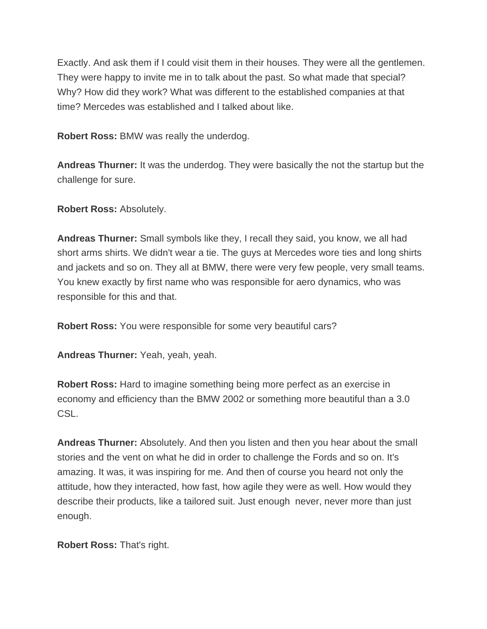Exactly. And ask them if I could visit them in their houses. They were all the gentlemen. They were happy to invite me in to talk about the past. So what made that special? Why? How did they work? What was different to the established companies at that time? Mercedes was established and I talked about like.

**Robert Ross:** BMW was really the underdog.

**Andreas Thurner:** It was the underdog. They were basically the not the startup but the challenge for sure.

**Robert Ross:** Absolutely.

**Andreas Thurner:** Small symbols like they, I recall they said, you know, we all had short arms shirts. We didn't wear a tie. The guys at Mercedes wore ties and long shirts and jackets and so on. They all at BMW, there were very few people, very small teams. You knew exactly by first name who was responsible for aero dynamics, who was responsible for this and that.

**Robert Ross:** You were responsible for some very beautiful cars?

**Andreas Thurner:** Yeah, yeah, yeah.

**Robert Ross:** Hard to imagine something being more perfect as an exercise in economy and efficiency than the BMW 2002 or something more beautiful than a 3.0 CSL.

**Andreas Thurner:** Absolutely. And then you listen and then you hear about the small stories and the vent on what he did in order to challenge the Fords and so on. It's amazing. It was, it was inspiring for me. And then of course you heard not only the attitude, how they interacted, how fast, how agile they were as well. How would they describe their products, like a tailored suit. Just enough never, never more than just enough.

**Robert Ross:** That's right.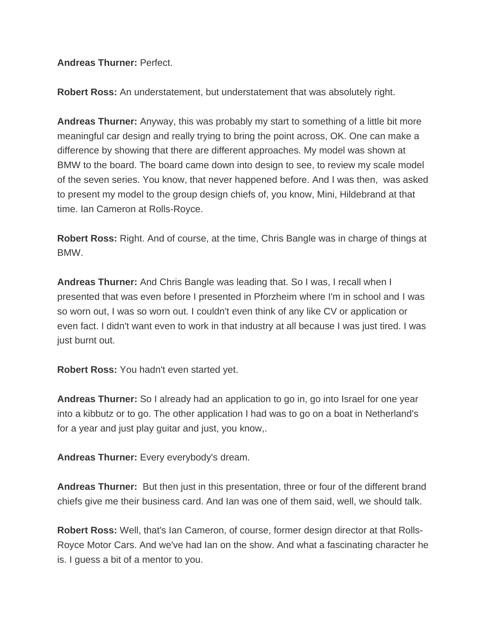**Andreas Thurner:** Perfect.

**Robert Ross:** An understatement, but understatement that was absolutely right.

**Andreas Thurner:** Anyway, this was probably my start to something of a little bit more meaningful car design and really trying to bring the point across, OK. One can make a difference by showing that there are different approaches. My model was shown at BMW to the board. The board came down into design to see, to review my scale model of the seven series. You know, that never happened before. And I was then, was asked to present my model to the group design chiefs of, you know, Mini, Hildebrand at that time. Ian Cameron at Rolls-Royce.

**Robert Ross:** Right. And of course, at the time, Chris Bangle was in charge of things at BMW.

**Andreas Thurner:** And Chris Bangle was leading that. So I was, I recall when I presented that was even before I presented in Pforzheim where I'm in school and I was so worn out, I was so worn out. I couldn't even think of any like CV or application or even fact. I didn't want even to work in that industry at all because I was just tired. I was just burnt out.

**Robert Ross:** You hadn't even started yet.

**Andreas Thurner:** So I already had an application to go in, go into Israel for one year into a kibbutz or to go. The other application I had was to go on a boat in Netherland's for a year and just play guitar and just, you know,.

**Andreas Thurner:** Every everybody's dream.

**Andreas Thurner:** But then just in this presentation, three or four of the different brand chiefs give me their business card. And Ian was one of them said, well, we should talk.

**Robert Ross:** Well, that's Ian Cameron, of course, former design director at that Rolls-Royce Motor Cars. And we've had Ian on the show. And what a fascinating character he is. I guess a bit of a mentor to you.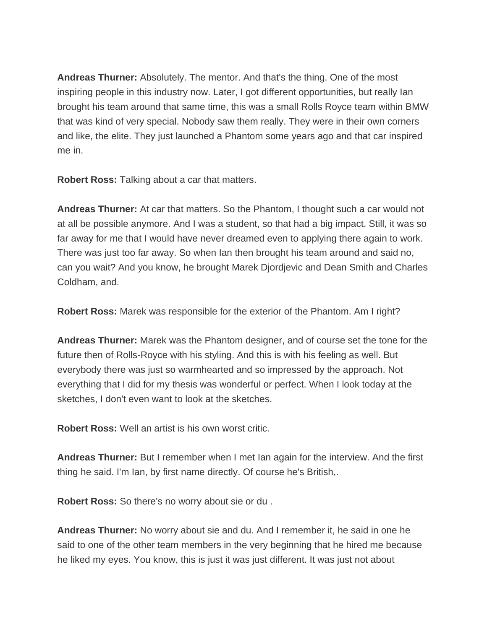**Andreas Thurner:** Absolutely. The mentor. And that's the thing. One of the most inspiring people in this industry now. Later, I got different opportunities, but really Ian brought his team around that same time, this was a small Rolls Royce team within BMW that was kind of very special. Nobody saw them really. They were in their own corners and like, the elite. They just launched a Phantom some years ago and that car inspired me in.

**Robert Ross:** Talking about a car that matters.

**Andreas Thurner:** At car that matters. So the Phantom, I thought such a car would not at all be possible anymore. And I was a student, so that had a big impact. Still, it was so far away for me that I would have never dreamed even to applying there again to work. There was just too far away. So when Ian then brought his team around and said no, can you wait? And you know, he brought Marek Djordjevic and Dean Smith and Charles Coldham, and.

**Robert Ross:** Marek was responsible for the exterior of the Phantom. Am I right?

**Andreas Thurner:** Marek was the Phantom designer, and of course set the tone for the future then of Rolls-Royce with his styling. And this is with his feeling as well. But everybody there was just so warmhearted and so impressed by the approach. Not everything that I did for my thesis was wonderful or perfect. When I look today at the sketches, I don't even want to look at the sketches.

**Robert Ross:** Well an artist is his own worst critic.

**Andreas Thurner:** But I remember when I met Ian again for the interview. And the first thing he said. I'm Ian, by first name directly. Of course he's British,.

**Robert Ross:** So there's no worry about sie or du .

**Andreas Thurner:** No worry about sie and du. And I remember it, he said in one he said to one of the other team members in the very beginning that he hired me because he liked my eyes. You know, this is just it was just different. It was just not about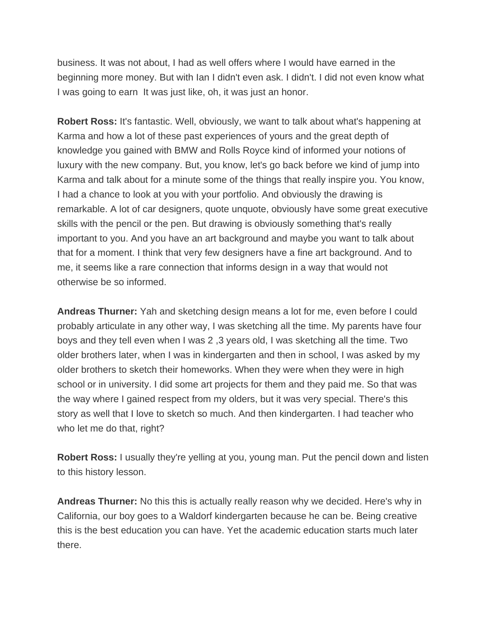business. It was not about, I had as well offers where I would have earned in the beginning more money. But with Ian I didn't even ask. I didn't. I did not even know what I was going to earn It was just like, oh, it was just an honor.

**Robert Ross:** It's fantastic. Well, obviously, we want to talk about what's happening at Karma and how a lot of these past experiences of yours and the great depth of knowledge you gained with BMW and Rolls Royce kind of informed your notions of luxury with the new company. But, you know, let's go back before we kind of jump into Karma and talk about for a minute some of the things that really inspire you. You know, I had a chance to look at you with your portfolio. And obviously the drawing is remarkable. A lot of car designers, quote unquote, obviously have some great executive skills with the pencil or the pen. But drawing is obviously something that's really important to you. And you have an art background and maybe you want to talk about that for a moment. I think that very few designers have a fine art background. And to me, it seems like a rare connection that informs design in a way that would not otherwise be so informed.

**Andreas Thurner:** Yah and sketching design means a lot for me, even before I could probably articulate in any other way, I was sketching all the time. My parents have four boys and they tell even when I was 2 ,3 years old, I was sketching all the time. Two older brothers later, when I was in kindergarten and then in school, I was asked by my older brothers to sketch their homeworks. When they were when they were in high school or in university. I did some art projects for them and they paid me. So that was the way where I gained respect from my olders, but it was very special. There's this story as well that I love to sketch so much. And then kindergarten. I had teacher who who let me do that, right?

**Robert Ross:** I usually they're yelling at you, young man. Put the pencil down and listen to this history lesson.

**Andreas Thurner:** No this this is actually really reason why we decided. Here's why in California, our boy goes to a Waldorf kindergarten because he can be. Being creative this is the best education you can have. Yet the academic education starts much later there.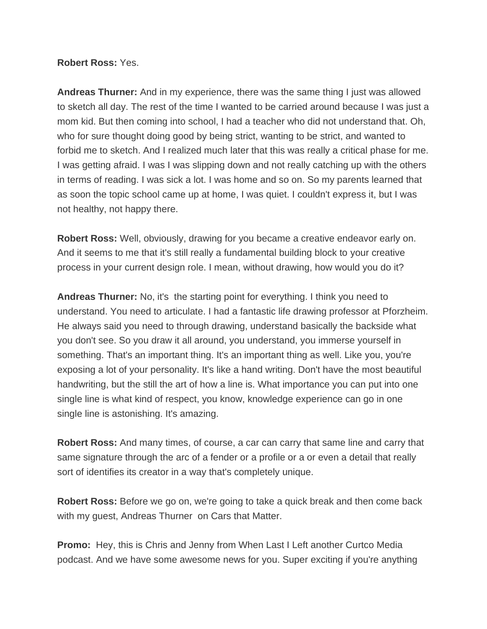## **Robert Ross:** Yes.

**Andreas Thurner:** And in my experience, there was the same thing I just was allowed to sketch all day. The rest of the time I wanted to be carried around because I was just a mom kid. But then coming into school, I had a teacher who did not understand that. Oh, who for sure thought doing good by being strict, wanting to be strict, and wanted to forbid me to sketch. And I realized much later that this was really a critical phase for me. I was getting afraid. I was I was slipping down and not really catching up with the others in terms of reading. I was sick a lot. I was home and so on. So my parents learned that as soon the topic school came up at home, I was quiet. I couldn't express it, but I was not healthy, not happy there.

**Robert Ross:** Well, obviously, drawing for you became a creative endeavor early on. And it seems to me that it's still really a fundamental building block to your creative process in your current design role. I mean, without drawing, how would you do it?

**Andreas Thurner:** No, it's the starting point for everything. I think you need to understand. You need to articulate. I had a fantastic life drawing professor at Pforzheim. He always said you need to through drawing, understand basically the backside what you don't see. So you draw it all around, you understand, you immerse yourself in something. That's an important thing. It's an important thing as well. Like you, you're exposing a lot of your personality. It's like a hand writing. Don't have the most beautiful handwriting, but the still the art of how a line is. What importance you can put into one single line is what kind of respect, you know, knowledge experience can go in one single line is astonishing. It's amazing.

**Robert Ross:** And many times, of course, a car can carry that same line and carry that same signature through the arc of a fender or a profile or a or even a detail that really sort of identifies its creator in a way that's completely unique.

**Robert Ross:** Before we go on, we're going to take a quick break and then come back with my guest, Andreas Thurner on Cars that Matter.

**Promo:** Hey, this is Chris and Jenny from When Last I Left another Curtco Media podcast. And we have some awesome news for you. Super exciting if you're anything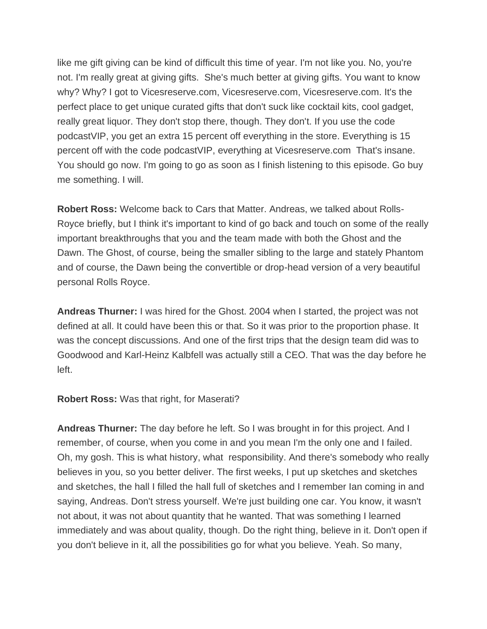like me gift giving can be kind of difficult this time of year. I'm not like you. No, you're not. I'm really great at giving gifts. She's much better at giving gifts. You want to know why? Why? I got to Vicesreserve.com, Vicesreserve.com, Vicesreserve.com. It's the perfect place to get unique curated gifts that don't suck like cocktail kits, cool gadget, really great liquor. They don't stop there, though. They don't. If you use the code podcastVIP, you get an extra 15 percent off everything in the store. Everything is 15 percent off with the code podcastVIP, everything at Vicesreserve.com That's insane. You should go now. I'm going to go as soon as I finish listening to this episode. Go buy me something. I will.

**Robert Ross:** Welcome back to Cars that Matter. Andreas, we talked about Rolls-Royce briefly, but I think it's important to kind of go back and touch on some of the really important breakthroughs that you and the team made with both the Ghost and the Dawn. The Ghost, of course, being the smaller sibling to the large and stately Phantom and of course, the Dawn being the convertible or drop-head version of a very beautiful personal Rolls Royce.

**Andreas Thurner:** I was hired for the Ghost. 2004 when I started, the project was not defined at all. It could have been this or that. So it was prior to the proportion phase. It was the concept discussions. And one of the first trips that the design team did was to Goodwood and Karl-Heinz Kalbfell was actually still a CEO. That was the day before he left.

## **Robert Ross:** Was that right, for Maserati?

**Andreas Thurner:** The day before he left. So I was brought in for this project. And I remember, of course, when you come in and you mean I'm the only one and I failed. Oh, my gosh. This is what history, what responsibility. And there's somebody who really believes in you, so you better deliver. The first weeks, I put up sketches and sketches and sketches, the hall I filled the hall full of sketches and I remember Ian coming in and saying, Andreas. Don't stress yourself. We're just building one car. You know, it wasn't not about, it was not about quantity that he wanted. That was something I learned immediately and was about quality, though. Do the right thing, believe in it. Don't open if you don't believe in it, all the possibilities go for what you believe. Yeah. So many,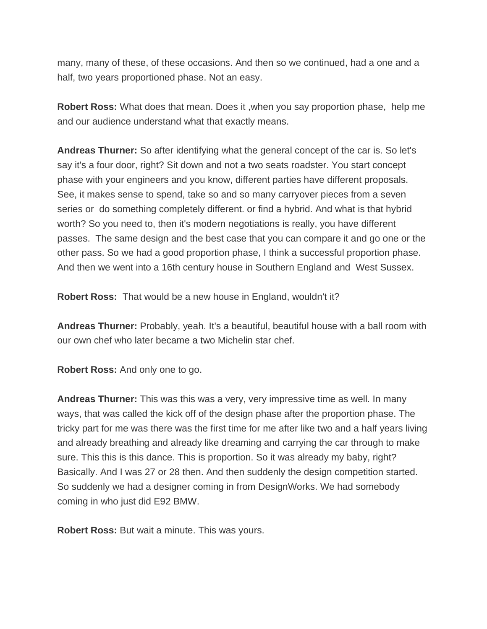many, many of these, of these occasions. And then so we continued, had a one and a half, two years proportioned phase. Not an easy.

**Robert Ross:** What does that mean. Does it ,when you say proportion phase, help me and our audience understand what that exactly means.

**Andreas Thurner:** So after identifying what the general concept of the car is. So let's say it's a four door, right? Sit down and not a two seats roadster. You start concept phase with your engineers and you know, different parties have different proposals. See, it makes sense to spend, take so and so many carryover pieces from a seven series or do something completely different. or find a hybrid. And what is that hybrid worth? So you need to, then it's modern negotiations is really, you have different passes. The same design and the best case that you can compare it and go one or the other pass. So we had a good proportion phase, I think a successful proportion phase. And then we went into a 16th century house in Southern England and West Sussex.

**Robert Ross:** That would be a new house in England, wouldn't it?

**Andreas Thurner:** Probably, yeah. It's a beautiful, beautiful house with a ball room with our own chef who later became a two Michelin star chef.

**Robert Ross:** And only one to go.

**Andreas Thurner:** This was this was a very, very impressive time as well. In many ways, that was called the kick off of the design phase after the proportion phase. The tricky part for me was there was the first time for me after like two and a half years living and already breathing and already like dreaming and carrying the car through to make sure. This this is this dance. This is proportion. So it was already my baby, right? Basically. And I was 27 or 28 then. And then suddenly the design competition started. So suddenly we had a designer coming in from DesignWorks. We had somebody coming in who just did E92 BMW.

**Robert Ross:** But wait a minute. This was yours.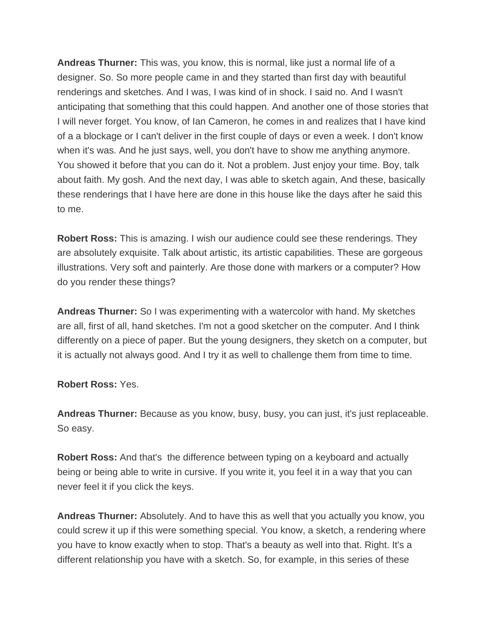**Andreas Thurner:** This was, you know, this is normal, like just a normal life of a designer. So. So more people came in and they started than first day with beautiful renderings and sketches. And I was, I was kind of in shock. I said no. And I wasn't anticipating that something that this could happen. And another one of those stories that I will never forget. You know, of Ian Cameron, he comes in and realizes that I have kind of a a blockage or I can't deliver in the first couple of days or even a week. I don't know when it's was. And he just says, well, you don't have to show me anything anymore. You showed it before that you can do it. Not a problem. Just enjoy your time. Boy, talk about faith. My gosh. And the next day, I was able to sketch again, And these, basically these renderings that I have here are done in this house like the days after he said this to me.

**Robert Ross:** This is amazing. I wish our audience could see these renderings. They are absolutely exquisite. Talk about artistic, its artistic capabilities. These are gorgeous illustrations. Very soft and painterly. Are those done with markers or a computer? How do you render these things?

**Andreas Thurner:** So I was experimenting with a watercolor with hand. My sketches are all, first of all, hand sketches. I'm not a good sketcher on the computer. And I think differently on a piece of paper. But the young designers, they sketch on a computer, but it is actually not always good. And I try it as well to challenge them from time to time.

**Robert Ross:** Yes.

**Andreas Thurner:** Because as you know, busy, busy, you can just, it's just replaceable. So easy.

**Robert Ross:** And that's the difference between typing on a keyboard and actually being or being able to write in cursive. If you write it, you feel it in a way that you can never feel it if you click the keys.

**Andreas Thurner:** Absolutely. And to have this as well that you actually you know, you could screw it up if this were something special. You know, a sketch, a rendering where you have to know exactly when to stop. That's a beauty as well into that. Right. It's a different relationship you have with a sketch. So, for example, in this series of these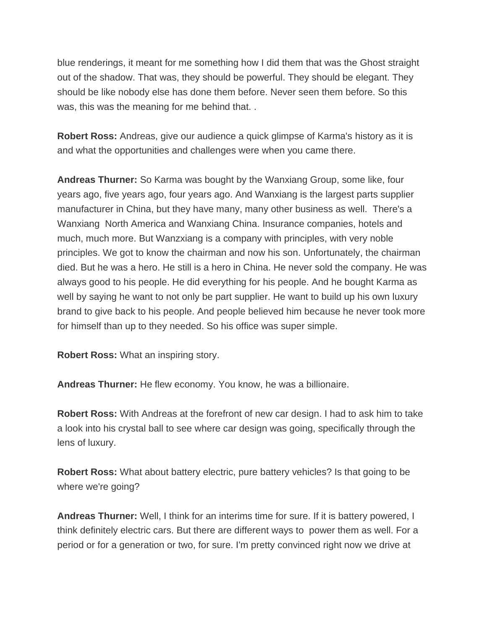blue renderings, it meant for me something how I did them that was the Ghost straight out of the shadow. That was, they should be powerful. They should be elegant. They should be like nobody else has done them before. Never seen them before. So this was, this was the meaning for me behind that. .

**Robert Ross:** Andreas, give our audience a quick glimpse of Karma's history as it is and what the opportunities and challenges were when you came there.

**Andreas Thurner:** So Karma was bought by the Wanxiang Group, some like, four years ago, five years ago, four years ago. And Wanxiang is the largest parts supplier manufacturer in China, but they have many, many other business as well. There's a Wanxiang North America and Wanxiang China. Insurance companies, hotels and much, much more. But Wanzxiang is a company with principles, with very noble principles. We got to know the chairman and now his son. Unfortunately, the chairman died. But he was a hero. He still is a hero in China. He never sold the company. He was always good to his people. He did everything for his people. And he bought Karma as well by saying he want to not only be part supplier. He want to build up his own luxury brand to give back to his people. And people believed him because he never took more for himself than up to they needed. So his office was super simple.

**Robert Ross:** What an inspiring story.

**Andreas Thurner:** He flew economy. You know, he was a billionaire.

**Robert Ross:** With Andreas at the forefront of new car design. I had to ask him to take a look into his crystal ball to see where car design was going, specifically through the lens of luxury.

**Robert Ross:** What about battery electric, pure battery vehicles? Is that going to be where we're going?

**Andreas Thurner:** Well, I think for an interims time for sure. If it is battery powered, I think definitely electric cars. But there are different ways to power them as well. For a period or for a generation or two, for sure. I'm pretty convinced right now we drive at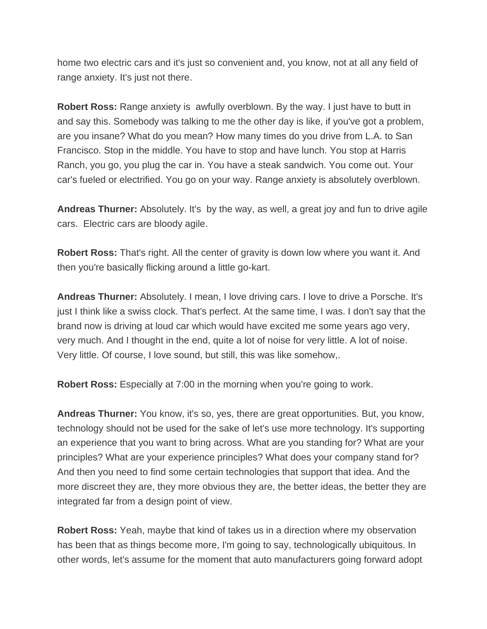home two electric cars and it's just so convenient and, you know, not at all any field of range anxiety. It's just not there.

**Robert Ross:** Range anxiety is awfully overblown. By the way. I just have to butt in and say this. Somebody was talking to me the other day is like, if you've got a problem, are you insane? What do you mean? How many times do you drive from L.A. to San Francisco. Stop in the middle. You have to stop and have lunch. You stop at Harris Ranch, you go, you plug the car in. You have a steak sandwich. You come out. Your car's fueled or electrified. You go on your way. Range anxiety is absolutely overblown.

**Andreas Thurner:** Absolutely. It's by the way, as well, a great joy and fun to drive agile cars. Electric cars are bloody agile.

**Robert Ross:** That's right. All the center of gravity is down low where you want it. And then you're basically flicking around a little go-kart.

**Andreas Thurner:** Absolutely. I mean, I love driving cars. I love to drive a Porsche. It's just I think like a swiss clock. That's perfect. At the same time, I was. I don't say that the brand now is driving at loud car which would have excited me some years ago very, very much. And I thought in the end, quite a lot of noise for very little. A lot of noise. Very little. Of course, I love sound, but still, this was like somehow,.

**Robert Ross:** Especially at 7:00 in the morning when you're going to work.

**Andreas Thurner:** You know, it's so, yes, there are great opportunities. But, you know, technology should not be used for the sake of let's use more technology. It's supporting an experience that you want to bring across. What are you standing for? What are your principles? What are your experience principles? What does your company stand for? And then you need to find some certain technologies that support that idea. And the more discreet they are, they more obvious they are, the better ideas, the better they are integrated far from a design point of view.

**Robert Ross:** Yeah, maybe that kind of takes us in a direction where my observation has been that as things become more, I'm going to say, technologically ubiquitous. In other words, let's assume for the moment that auto manufacturers going forward adopt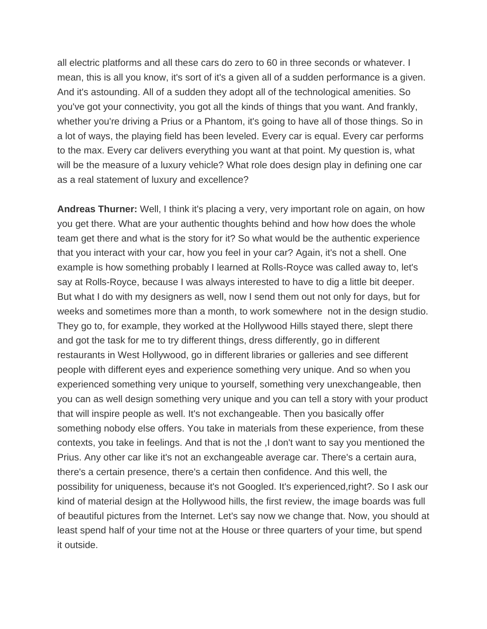all electric platforms and all these cars do zero to 60 in three seconds or whatever. I mean, this is all you know, it's sort of it's a given all of a sudden performance is a given. And it's astounding. All of a sudden they adopt all of the technological amenities. So you've got your connectivity, you got all the kinds of things that you want. And frankly, whether you're driving a Prius or a Phantom, it's going to have all of those things. So in a lot of ways, the playing field has been leveled. Every car is equal. Every car performs to the max. Every car delivers everything you want at that point. My question is, what will be the measure of a luxury vehicle? What role does design play in defining one car as a real statement of luxury and excellence?

**Andreas Thurner:** Well, I think it's placing a very, very important role on again, on how you get there. What are your authentic thoughts behind and how how does the whole team get there and what is the story for it? So what would be the authentic experience that you interact with your car, how you feel in your car? Again, it's not a shell. One example is how something probably I learned at Rolls-Royce was called away to, let's say at Rolls-Royce, because I was always interested to have to dig a little bit deeper. But what I do with my designers as well, now I send them out not only for days, but for weeks and sometimes more than a month, to work somewhere not in the design studio. They go to, for example, they worked at the Hollywood Hills stayed there, slept there and got the task for me to try different things, dress differently, go in different restaurants in West Hollywood, go in different libraries or galleries and see different people with different eyes and experience something very unique. And so when you experienced something very unique to yourself, something very unexchangeable, then you can as well design something very unique and you can tell a story with your product that will inspire people as well. It's not exchangeable. Then you basically offer something nobody else offers. You take in materials from these experience, from these contexts, you take in feelings. And that is not the ,I don't want to say you mentioned the Prius. Any other car like it's not an exchangeable average car. There's a certain aura, there's a certain presence, there's a certain then confidence. And this well, the possibility for uniqueness, because it's not Googled. It's experienced,right?. So I ask our kind of material design at the Hollywood hills, the first review, the image boards was full of beautiful pictures from the Internet. Let's say now we change that. Now, you should at least spend half of your time not at the House or three quarters of your time, but spend it outside.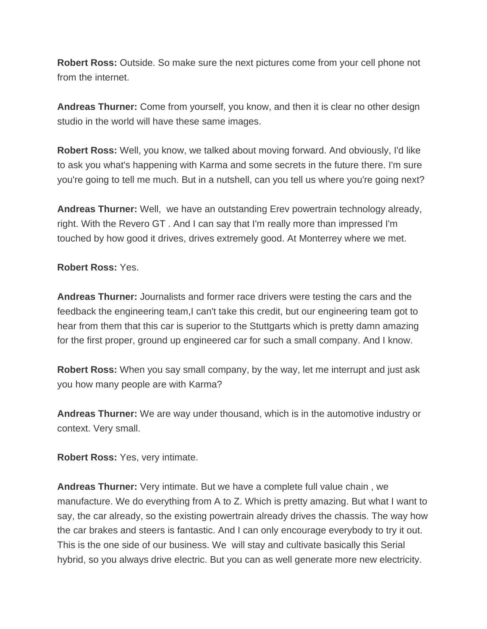**Robert Ross:** Outside. So make sure the next pictures come from your cell phone not from the internet.

**Andreas Thurner:** Come from yourself, you know, and then it is clear no other design studio in the world will have these same images.

**Robert Ross:** Well, you know, we talked about moving forward. And obviously, I'd like to ask you what's happening with Karma and some secrets in the future there. I'm sure you're going to tell me much. But in a nutshell, can you tell us where you're going next?

**Andreas Thurner:** Well, we have an outstanding Erev powertrain technology already, right. With the Revero GT . And I can say that I'm really more than impressed I'm touched by how good it drives, drives extremely good. At Monterrey where we met.

**Robert Ross:** Yes.

**Andreas Thurner:** Journalists and former race drivers were testing the cars and the feedback the engineering team,I can't take this credit, but our engineering team got to hear from them that this car is superior to the Stuttgarts which is pretty damn amazing for the first proper, ground up engineered car for such a small company. And I know.

**Robert Ross:** When you say small company, by the way, let me interrupt and just ask you how many people are with Karma?

**Andreas Thurner:** We are way under thousand, which is in the automotive industry or context. Very small.

**Robert Ross:** Yes, very intimate.

**Andreas Thurner:** Very intimate. But we have a complete full value chain , we manufacture. We do everything from A to Z. Which is pretty amazing. But what I want to say, the car already, so the existing powertrain already drives the chassis. The way how the car brakes and steers is fantastic. And I can only encourage everybody to try it out. This is the one side of our business. We will stay and cultivate basically this Serial hybrid, so you always drive electric. But you can as well generate more new electricity.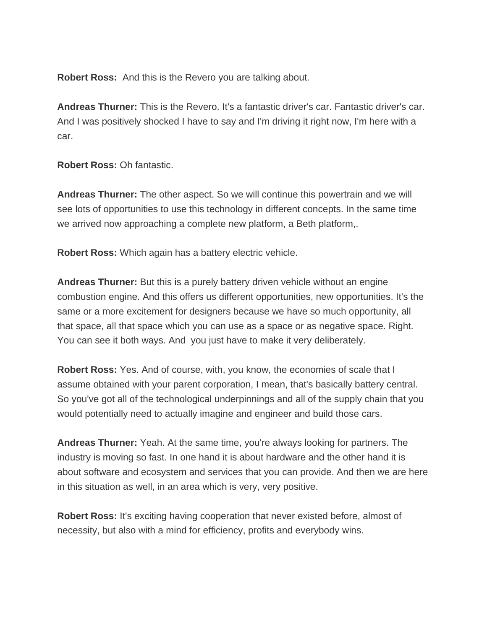**Robert Ross:** And this is the Revero you are talking about.

**Andreas Thurner:** This is the Revero. It's a fantastic driver's car. Fantastic driver's car. And I was positively shocked I have to say and I'm driving it right now, I'm here with a car.

**Robert Ross:** Oh fantastic.

**Andreas Thurner:** The other aspect. So we will continue this powertrain and we will see lots of opportunities to use this technology in different concepts. In the same time we arrived now approaching a complete new platform, a Beth platform,.

**Robert Ross:** Which again has a battery electric vehicle.

**Andreas Thurner:** But this is a purely battery driven vehicle without an engine combustion engine. And this offers us different opportunities, new opportunities. It's the same or a more excitement for designers because we have so much opportunity, all that space, all that space which you can use as a space or as negative space. Right. You can see it both ways. And you just have to make it very deliberately.

**Robert Ross:** Yes. And of course, with, you know, the economies of scale that I assume obtained with your parent corporation, I mean, that's basically battery central. So you've got all of the technological underpinnings and all of the supply chain that you would potentially need to actually imagine and engineer and build those cars.

**Andreas Thurner:** Yeah. At the same time, you're always looking for partners. The industry is moving so fast. In one hand it is about hardware and the other hand it is about software and ecosystem and services that you can provide. And then we are here in this situation as well, in an area which is very, very positive.

**Robert Ross:** It's exciting having cooperation that never existed before, almost of necessity, but also with a mind for efficiency, profits and everybody wins.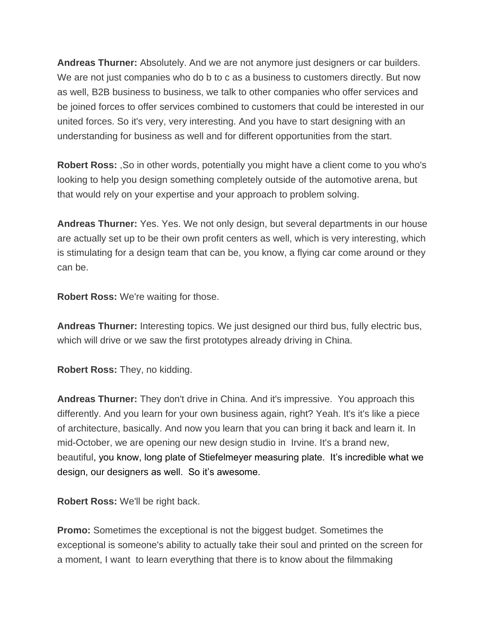**Andreas Thurner:** Absolutely. And we are not anymore just designers or car builders. We are not just companies who do b to c as a business to customers directly. But now as well, B2B business to business, we talk to other companies who offer services and be joined forces to offer services combined to customers that could be interested in our united forces. So it's very, very interesting. And you have to start designing with an understanding for business as well and for different opportunities from the start.

**Robert Ross:** ,So in other words, potentially you might have a client come to you who's looking to help you design something completely outside of the automotive arena, but that would rely on your expertise and your approach to problem solving.

**Andreas Thurner:** Yes. Yes. We not only design, but several departments in our house are actually set up to be their own profit centers as well, which is very interesting, which is stimulating for a design team that can be, you know, a flying car come around or they can be.

**Robert Ross:** We're waiting for those.

**Andreas Thurner:** Interesting topics. We just designed our third bus, fully electric bus, which will drive or we saw the first prototypes already driving in China.

**Robert Ross:** They, no kidding.

**Andreas Thurner:** They don't drive in China. And it's impressive. You approach this differently. And you learn for your own business again, right? Yeah. It's it's like a piece of architecture, basically. And now you learn that you can bring it back and learn it. In mid-October, we are opening our new design studio in Irvine. It's a brand new, beautiful, you know, long plate of Stiefelmeyer measuring plate. It's incredible what we design, our designers as well. So it's awesome.

**Robert Ross:** We'll be right back.

**Promo:** Sometimes the exceptional is not the biggest budget. Sometimes the exceptional is someone's ability to actually take their soul and printed on the screen for a moment, I want to learn everything that there is to know about the filmmaking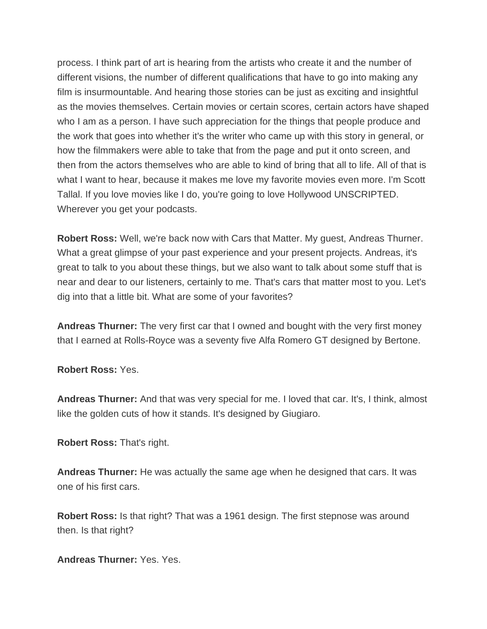process. I think part of art is hearing from the artists who create it and the number of different visions, the number of different qualifications that have to go into making any film is insurmountable. And hearing those stories can be just as exciting and insightful as the movies themselves. Certain movies or certain scores, certain actors have shaped who I am as a person. I have such appreciation for the things that people produce and the work that goes into whether it's the writer who came up with this story in general, or how the filmmakers were able to take that from the page and put it onto screen, and then from the actors themselves who are able to kind of bring that all to life. All of that is what I want to hear, because it makes me love my favorite movies even more. I'm Scott Tallal. If you love movies like I do, you're going to love Hollywood UNSCRIPTED. Wherever you get your podcasts.

**Robert Ross:** Well, we're back now with Cars that Matter. My guest, Andreas Thurner. What a great glimpse of your past experience and your present projects. Andreas, it's great to talk to you about these things, but we also want to talk about some stuff that is near and dear to our listeners, certainly to me. That's cars that matter most to you. Let's dig into that a little bit. What are some of your favorites?

**Andreas Thurner:** The very first car that I owned and bought with the very first money that I earned at Rolls-Royce was a seventy five Alfa Romero GT designed by Bertone.

**Robert Ross:** Yes.

**Andreas Thurner:** And that was very special for me. I loved that car. It's, I think, almost like the golden cuts of how it stands. It's designed by Giugiaro.

**Robert Ross:** That's right.

**Andreas Thurner:** He was actually the same age when he designed that cars. It was one of his first cars.

**Robert Ross:** Is that right? That was a 1961 design. The first stepnose was around then. Is that right?

**Andreas Thurner:** Yes. Yes.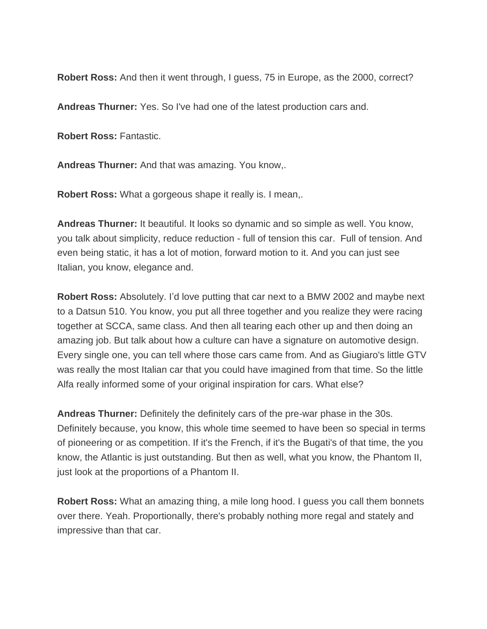**Robert Ross:** And then it went through, I guess, 75 in Europe, as the 2000, correct?

**Andreas Thurner:** Yes. So I've had one of the latest production cars and.

**Robert Ross:** Fantastic.

**Andreas Thurner:** And that was amazing. You know,.

**Robert Ross:** What a gorgeous shape it really is. I mean,.

**Andreas Thurner:** It beautiful. It looks so dynamic and so simple as well. You know, you talk about simplicity, reduce reduction - full of tension this car. Full of tension. And even being static, it has a lot of motion, forward motion to it. And you can just see Italian, you know, elegance and.

**Robert Ross:** Absolutely. I'd love putting that car next to a BMW 2002 and maybe next to a Datsun 510. You know, you put all three together and you realize they were racing together at SCCA, same class. And then all tearing each other up and then doing an amazing job. But talk about how a culture can have a signature on automotive design. Every single one, you can tell where those cars came from. And as Giugiaro's little GTV was really the most Italian car that you could have imagined from that time. So the little Alfa really informed some of your original inspiration for cars. What else?

**Andreas Thurner:** Definitely the definitely cars of the pre-war phase in the 30s. Definitely because, you know, this whole time seemed to have been so special in terms of pioneering or as competition. If it's the French, if it's the Bugati's of that time, the you know, the Atlantic is just outstanding. But then as well, what you know, the Phantom II, just look at the proportions of a Phantom II.

**Robert Ross:** What an amazing thing, a mile long hood. I guess you call them bonnets over there. Yeah. Proportionally, there's probably nothing more regal and stately and impressive than that car.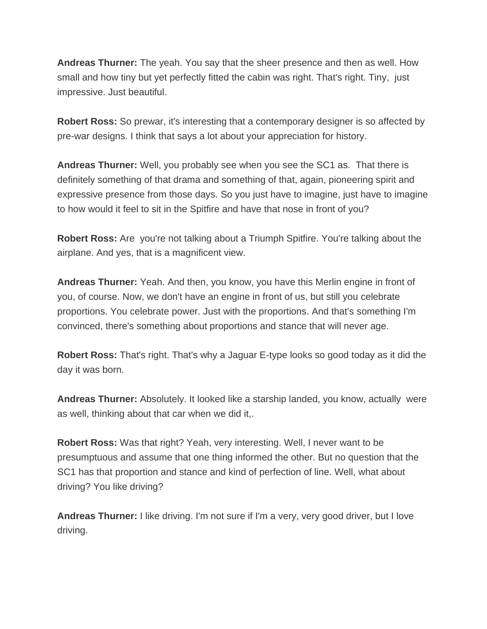**Andreas Thurner:** The yeah. You say that the sheer presence and then as well. How small and how tiny but yet perfectly fitted the cabin was right. That's right. Tiny, just impressive. Just beautiful.

**Robert Ross:** So prewar, it's interesting that a contemporary designer is so affected by pre-war designs. I think that says a lot about your appreciation for history.

**Andreas Thurner:** Well, you probably see when you see the SC1 as. That there is definitely something of that drama and something of that, again, pioneering spirit and expressive presence from those days. So you just have to imagine, just have to imagine to how would it feel to sit in the Spitfire and have that nose in front of you?

**Robert Ross:** Are you're not talking about a Triumph Spitfire. You're talking about the airplane. And yes, that is a magnificent view.

**Andreas Thurner:** Yeah. And then, you know, you have this Merlin engine in front of you, of course. Now, we don't have an engine in front of us, but still you celebrate proportions. You celebrate power. Just with the proportions. And that's something I'm convinced, there's something about proportions and stance that will never age.

**Robert Ross:** That's right. That's why a Jaguar E-type looks so good today as it did the day it was born.

**Andreas Thurner:** Absolutely. It looked like a starship landed, you know, actually were as well, thinking about that car when we did it,.

**Robert Ross:** Was that right? Yeah, very interesting. Well, I never want to be presumptuous and assume that one thing informed the other. But no question that the SC1 has that proportion and stance and kind of perfection of line. Well, what about driving? You like driving?

**Andreas Thurner:** I like driving. I'm not sure if I'm a very, very good driver, but I love driving.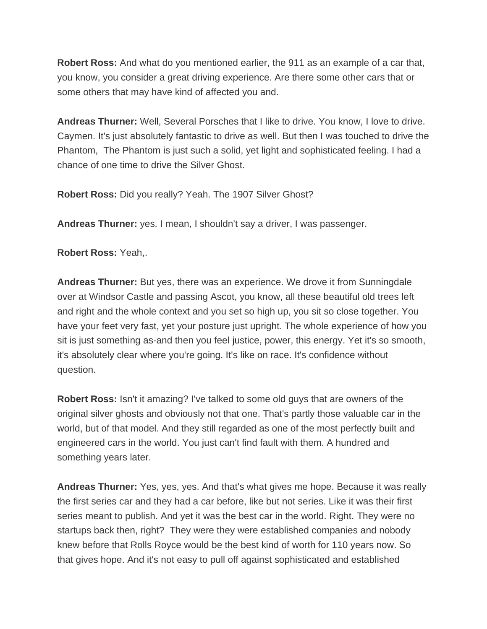**Robert Ross:** And what do you mentioned earlier, the 911 as an example of a car that, you know, you consider a great driving experience. Are there some other cars that or some others that may have kind of affected you and.

**Andreas Thurner:** Well, Several Porsches that I like to drive. You know, I love to drive. Caymen. It's just absolutely fantastic to drive as well. But then I was touched to drive the Phantom, The Phantom is just such a solid, yet light and sophisticated feeling. I had a chance of one time to drive the Silver Ghost.

**Robert Ross:** Did you really? Yeah. The 1907 Silver Ghost?

**Andreas Thurner:** yes. I mean, I shouldn't say a driver, I was passenger.

**Robert Ross:** Yeah,.

**Andreas Thurner:** But yes, there was an experience. We drove it from Sunningdale over at Windsor Castle and passing Ascot, you know, all these beautiful old trees left and right and the whole context and you set so high up, you sit so close together. You have your feet very fast, yet your posture just upright. The whole experience of how you sit is just something as-and then you feel justice, power, this energy. Yet it's so smooth, it's absolutely clear where you're going. It's like on race. It's confidence without question.

**Robert Ross:** Isn't it amazing? I've talked to some old guys that are owners of the original silver ghosts and obviously not that one. That's partly those valuable car in the world, but of that model. And they still regarded as one of the most perfectly built and engineered cars in the world. You just can't find fault with them. A hundred and something years later.

**Andreas Thurner:** Yes, yes, yes. And that's what gives me hope. Because it was really the first series car and they had a car before, like but not series. Like it was their first series meant to publish. And yet it was the best car in the world. Right. They were no startups back then, right? They were they were established companies and nobody knew before that Rolls Royce would be the best kind of worth for 110 years now. So that gives hope. And it's not easy to pull off against sophisticated and established